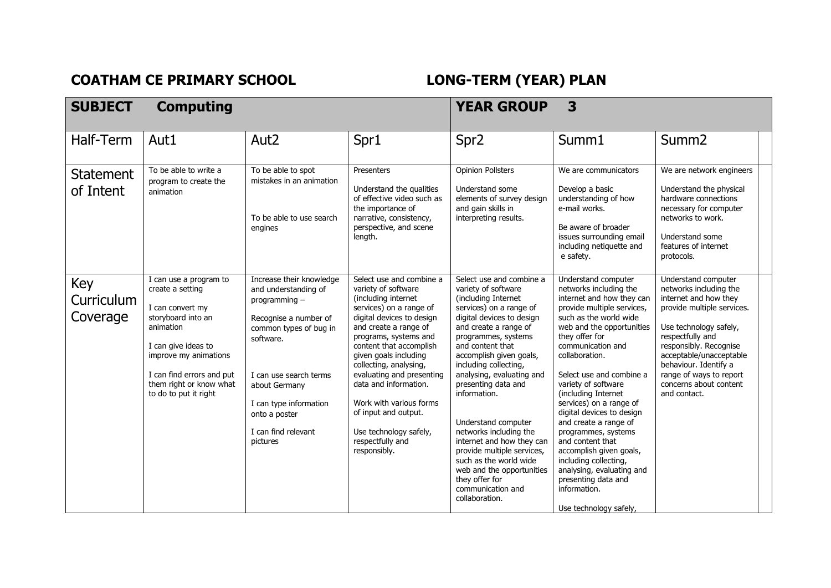## COATHAM CE PRIMARY SCHOOL **LONG-TERM** (YEAR) PLAN

| <b>SUBJECT</b>                | <b>Computing</b>                                                                                                                                                                                                                   |                                                                                                                                                                                                                                                            |                                                                                                                                                                                                                                                                                                                                                                                                                                       | <b>YEAR GROUP</b>                                                                                                                                                                                                                                                                                                                                                                                                                                                                                                                                      | 3                                                                                                                                                                                                                                                                                                                                                                                                                                                                                                                                                                                |                                                                                                                                                                                                                                                                                                       |
|-------------------------------|------------------------------------------------------------------------------------------------------------------------------------------------------------------------------------------------------------------------------------|------------------------------------------------------------------------------------------------------------------------------------------------------------------------------------------------------------------------------------------------------------|---------------------------------------------------------------------------------------------------------------------------------------------------------------------------------------------------------------------------------------------------------------------------------------------------------------------------------------------------------------------------------------------------------------------------------------|--------------------------------------------------------------------------------------------------------------------------------------------------------------------------------------------------------------------------------------------------------------------------------------------------------------------------------------------------------------------------------------------------------------------------------------------------------------------------------------------------------------------------------------------------------|----------------------------------------------------------------------------------------------------------------------------------------------------------------------------------------------------------------------------------------------------------------------------------------------------------------------------------------------------------------------------------------------------------------------------------------------------------------------------------------------------------------------------------------------------------------------------------|-------------------------------------------------------------------------------------------------------------------------------------------------------------------------------------------------------------------------------------------------------------------------------------------------------|
| Half-Term                     | Aut1                                                                                                                                                                                                                               | Aut <sub>2</sub>                                                                                                                                                                                                                                           | Spr1                                                                                                                                                                                                                                                                                                                                                                                                                                  | Spr <sub>2</sub>                                                                                                                                                                                                                                                                                                                                                                                                                                                                                                                                       | Summ1                                                                                                                                                                                                                                                                                                                                                                                                                                                                                                                                                                            | Summ <sub>2</sub>                                                                                                                                                                                                                                                                                     |
| <b>Statement</b><br>of Intent | To be able to write a<br>program to create the<br>animation                                                                                                                                                                        | To be able to spot<br>mistakes in an animation<br>To be able to use search<br>engines                                                                                                                                                                      | Presenters<br>Understand the qualities<br>of effective video such as<br>the importance of<br>narrative, consistency,<br>perspective, and scene<br>length.                                                                                                                                                                                                                                                                             | <b>Opinion Pollsters</b><br>Understand some<br>elements of survey design<br>and gain skills in<br>interpreting results.                                                                                                                                                                                                                                                                                                                                                                                                                                | We are communicators<br>Develop a basic<br>understanding of how<br>e-mail works.<br>Be aware of broader<br>issues surrounding email<br>including netiquette and<br>e safety.                                                                                                                                                                                                                                                                                                                                                                                                     | We are network engineers<br>Understand the physical<br>hardware connections<br>necessary for computer<br>networks to work.<br>Understand some<br>features of internet<br>protocols.                                                                                                                   |
| Key<br>Curriculum<br>Coverage | I can use a program to<br>create a setting<br>I can convert my<br>storyboard into an<br>animation<br>I can give ideas to<br>improve my animations<br>I can find errors and put<br>them right or know what<br>to do to put it right | Increase their knowledge<br>and understanding of<br>programming -<br>Recognise a number of<br>common types of bug in<br>software.<br>I can use search terms<br>about Germany<br>I can type information<br>onto a poster<br>I can find relevant<br>pictures | Select use and combine a<br>variety of software<br>(including internet<br>services) on a range of<br>digital devices to design<br>and create a range of<br>programs, systems and<br>content that accomplish<br>given goals including<br>collecting, analysing,<br>evaluating and presenting<br>data and information.<br>Work with various forms<br>of input and output.<br>Use technology safely,<br>respectfully and<br>responsibly. | Select use and combine a<br>variety of software<br>(including Internet<br>services) on a range of<br>digital devices to design<br>and create a range of<br>programmes, systems<br>and content that<br>accomplish given goals,<br>including collecting,<br>analysing, evaluating and<br>presenting data and<br>information.<br>Understand computer<br>networks including the<br>internet and how they can<br>provide multiple services,<br>such as the world wide<br>web and the opportunities<br>they offer for<br>communication and<br>collaboration. | Understand computer<br>networks including the<br>internet and how they can<br>provide multiple services,<br>such as the world wide<br>web and the opportunities<br>they offer for<br>communication and<br>collaboration.<br>Select use and combine a<br>variety of software<br>(including Internet<br>services) on a range of<br>digital devices to design<br>and create a range of<br>programmes, systems<br>and content that<br>accomplish given goals,<br>including collecting,<br>analysing, evaluating and<br>presenting data and<br>information.<br>Use technology safely, | Understand computer<br>networks including the<br>internet and how they<br>provide multiple services.<br>Use technology safely,<br>respectfully and<br>responsibly. Recognise<br>acceptable/unacceptable<br>behaviour. Identify a<br>range of ways to report<br>concerns about content<br>and contact. |